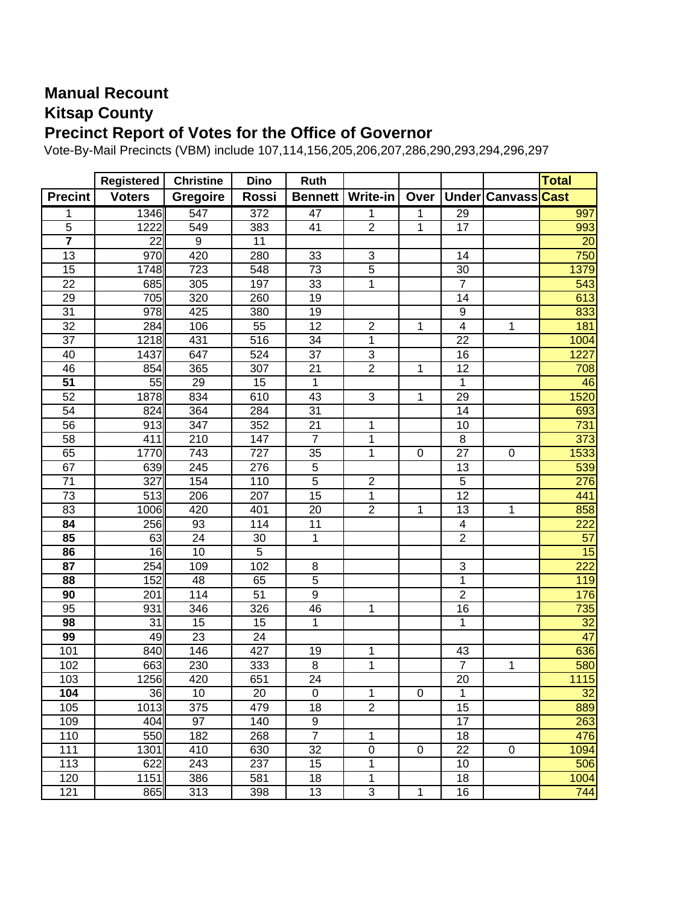## **Manual Recount Kitsap County Precinct Report of Votes for the Office of Governor**

Vote-By-Mail Precincts (VBM) include 107,114,156,205,206,207,286,290,293,294,296,297

|                         | Registered    | <b>Christine</b> | <b>Dino</b>      | Ruth            |                  |                  |                         |                    | <b>Total</b>    |
|-------------------------|---------------|------------------|------------------|-----------------|------------------|------------------|-------------------------|--------------------|-----------------|
| <b>Precint</b>          | <b>Voters</b> | <b>Gregoire</b>  | Rossi            | <b>Bennett</b>  | <b>Write-in</b>  | Over             |                         | Under Canvass Cast |                 |
| 1                       | 1346          | 547              | 372              | $\overline{47}$ | 1                |                  | 29                      |                    | 997             |
| 5                       | 1222          | 549              | 383              | 41              | $\overline{2}$   | 1                | 17                      |                    | 993             |
| $\overline{\mathbf{7}}$ | 22            | $\overline{9}$   | 11               |                 |                  |                  |                         |                    | $\overline{20}$ |
| 13                      | 970           | 420              | 280              | 33              | 3                |                  | 14                      |                    | 750             |
| 15                      | 1748          | 723              | 548              | 73              | $\overline{5}$   |                  | 30                      |                    | 1379            |
| 22                      | 685           | 305              | 197              | 33              | 1                |                  | $\overline{7}$          |                    | 543             |
| 29                      | 705           | 320              | 260              | 19              |                  |                  | 14                      |                    | 613             |
| 31                      | 978           | 425              | 380              | 19              |                  |                  | 9                       |                    | 833             |
| 32                      | 284           | 106              | 55               | $\overline{12}$ | $\overline{c}$   | 1                | $\overline{\mathbf{4}}$ | 1                  | 181             |
| $\overline{37}$         | 1218          | 431              | 516              | 34              | 1                |                  | 22                      |                    | 1004            |
| 40                      | 1437          | 647              | 524              | $\overline{37}$ | $\overline{3}$   |                  | 16                      |                    | 1227            |
| 46                      | 854           | 365              | $\overline{307}$ | $\overline{21}$ | $\overline{2}$   | 1                | 12                      |                    | 708             |
| 51                      | 55            | $\overline{29}$  | $\overline{15}$  | 1               |                  |                  | $\mathbf{1}$            |                    | 46              |
| 52                      | 1878          | 834              | 610              | 43              | 3                | 1                | 29                      |                    | 1520            |
| 54                      | 824           | 364              | 284              | $\overline{31}$ |                  |                  | $\overline{14}$         |                    | 693             |
| 56                      | 913           | $\overline{347}$ | 352              | $\overline{21}$ | 1                |                  | 10                      |                    | 731             |
| $\overline{58}$         | 411           | $\overline{210}$ | $\overline{147}$ | $\overline{7}$  | 1                |                  | 8                       |                    | 373             |
| 65                      | 1770          | 743              | 727              | 35              | 1                | $\boldsymbol{0}$ | 27                      | 0                  | 1533            |
| 67                      | 639           | 245              | 276              | $\mathbf 5$     |                  |                  | 13                      |                    | 539             |
| 71                      | 327           | 154              | 110              | $\overline{5}$  | $\overline{2}$   |                  | 5                       |                    | 276             |
| 73                      | 513           | 206              | 207              | 15              | $\mathbf 1$      |                  | 12                      |                    | 441             |
| 83                      | 1006          | 420              | 401              | 20              | $\overline{2}$   | 1                | 13                      | 1                  | 858             |
| 84                      | 256           | 93               | 114              | 11              |                  |                  | 4                       |                    | 222             |
| 85                      | 63            | 24               | 30               | $\mathbf{1}$    |                  |                  | $\overline{2}$          |                    | 57              |
| 86                      | 16            | 10               | $\overline{5}$   |                 |                  |                  |                         |                    | 15              |
| 87                      | 254           | 109              | 102              | 8               |                  |                  | 3                       |                    | 222             |
| 88                      | 152           | 48               | 65               | $\overline{5}$  |                  |                  | 1                       |                    | 119             |
| 90                      | 201           | 114              | $\overline{51}$  | $\overline{9}$  |                  |                  | $\overline{2}$          |                    | 176             |
| 95                      | 931           | 346              | 326              | 46              | $\mathbf 1$      |                  | 16                      |                    | 735             |
| 98                      | 31            | 15               | 15               | 1               |                  |                  | 1                       |                    | $\overline{32}$ |
| 99                      | 49            | 23               | 24               |                 |                  |                  |                         |                    | 47              |
| 101                     | 840           | 146              | 427              | 19              | 1                |                  | 43                      |                    | 636             |
| 102                     | 663           | 230              | 333              | $\,8\,$         | $\overline{1}$   |                  | $\overline{7}$          | 1                  | 580             |
| 103                     | 1256          | 420              | 651              | $\overline{24}$ |                  |                  | 20                      |                    | 1115            |
| 104                     | 36            | 10               | 20               | $\mathbf 0$     | 1                | $\boldsymbol{0}$ | 1                       |                    | 32              |
| 105                     | 1013          | 375              | 479              | 18              | $\overline{2}$   |                  | 15                      |                    | 889             |
| 109                     | 404           | 97               | 140              | 9               |                  |                  | $\overline{17}$         |                    | 263             |
| 110                     | 550           | 182              | 268              | $\overline{7}$  | 1                |                  | 18                      |                    | 476             |
| 111                     | 1301          | 410              | 630              | 32              | $\boldsymbol{0}$ | $\boldsymbol{0}$ | 22                      | 0                  | 1094            |
| 113                     | 622           | 243              | 237              | 15              | 1                |                  | 10                      |                    | 506             |
| 120                     | 1151          | 386              | 581              | 18              | 1                |                  | 18                      |                    | 1004            |
| 121                     | 865           | 313              | 398              | 13              | $\overline{3}$   | 1                | 16                      |                    | 744             |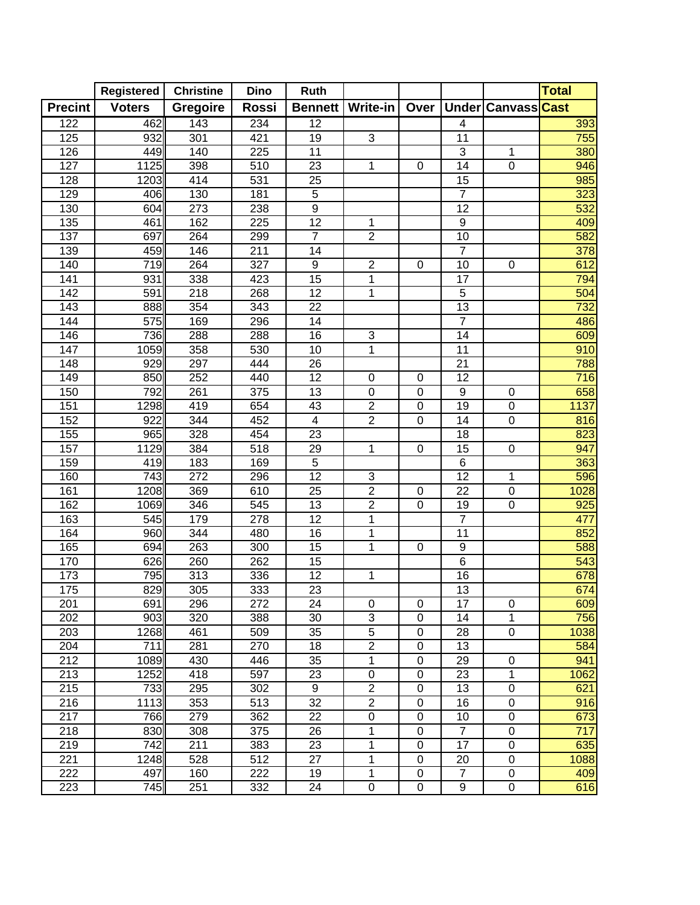|                  | <b>Registered</b> | <b>Christine</b> | <b>Dino</b>      | <b>Ruth</b>      |                |             |                  |                    | <b>Total</b> |
|------------------|-------------------|------------------|------------------|------------------|----------------|-------------|------------------|--------------------|--------------|
| <b>Precint</b>   | <b>Voters</b>     | Gregoire         | Rossi            | <b>Bennett</b>   | Write-in       | Over        |                  | Under Canvass Cast |              |
| 122              | 462               | 143              | 234              | 12               |                |             | 4                |                    | 393          |
| 125              | 932               | 301              | 421              | 19               | $\mathfrak{S}$ |             | 11               |                    | 755          |
| 126              | 449               | 140              | 225              | 11               |                |             | $\mathfrak{B}$   | 1                  | 380          |
| 127              | 1125              | 398              | 510              | 23               | 1              | 0           | 14               | $\mathbf 0$        | 946          |
| 128              | 1203              | 414              | 531              | 25               |                |             | 15               |                    | 985          |
| 129              | 406               | 130              | 181              | 5                |                |             | $\overline{7}$   |                    | 323          |
| 130              | 604               | 273              | 238              | $\overline{9}$   |                |             | 12               |                    | 532          |
| 135              | 461               | 162              | 225              | $\overline{12}$  | 1              |             | $\boldsymbol{9}$ |                    | 409          |
| 137              | 697               | 264              | 299              | $\overline{7}$   | $\overline{2}$ |             | 10               |                    | 582          |
| 139              | 459               | 146              | 211              | $\overline{14}$  |                |             | $\overline{7}$   |                    | 378          |
| 140              | 719               | 264              | 327              | $\boldsymbol{9}$ | $\overline{c}$ | $\mathbf 0$ | 10               | $\pmb{0}$          | 612          |
| 141              | 931               | 338              | 423              | 15               | $\overline{1}$ |             | $\overline{17}$  |                    | 794          |
| $\overline{142}$ | 591               | $\overline{218}$ | 268              | $\overline{12}$  | 1              |             | $\overline{5}$   |                    | 504          |
| $\overline{143}$ | 888               | 354              | $\overline{343}$ | $\overline{22}$  |                |             | 13               |                    | 732          |
| 144              | 575               | 169              | 296              | $\overline{14}$  |                |             | $\overline{7}$   |                    | 486          |
| 146              | 736               | 288              | 288              | 16               | 3              |             | 14               |                    | 609          |
| 147              | 1059              | 358              | 530              | 10               | $\mathbf{1}$   |             | 11               |                    | 910          |
| 148              | 929               | 297              | 444              | 26               |                |             | 21               |                    | 788          |
| 149              | 850               | 252              | 440              | 12               | $\pmb{0}$      | 0           | 12               |                    | 716          |
| 150              | 792               | 261              | 375              | 13               | $\,0\,$        | $\pmb{0}$   | 9                | $\pmb{0}$          | 658          |
| 151              | 1298              | 419              | 654              | 43               | $\overline{2}$ | $\pmb{0}$   | 19               | $\pmb{0}$          | 1137         |
| 152              | 922               | 344              | 452              | $\overline{4}$   | $\overline{2}$ | 0           | 14               | 0                  | 816          |
| 155              | 965               | 328              | 454              | 23               |                |             | 18               |                    | 823          |
| 157              | 1129              | 384              | 518              | 29               | 1              | $\pmb{0}$   | 15               | $\mathsf 0$        | 947          |
| 159              | 419               | 183              | 169              | 5                |                |             | $\,6$            |                    | 363          |
| 160              | 743               | 272              | 296              | 12               | 3              |             | 12               | 1                  | 596          |
| 161              | 1208              | 369              | 610              | $\overline{25}$  | $\overline{2}$ | 0           | 22               | $\overline{0}$     | 1028         |
| 162              | 1069              | 346              | 545              | 13               | $\overline{2}$ | $\mathbf 0$ | 19               | $\mathbf 0$        | 925          |
| 163              | 545               | 179              | 278              | $\overline{12}$  | 1              |             | $\overline{7}$   |                    | 477          |
| 164              | 960               | 344              | 480              | $\overline{16}$  | 1              |             | 11               |                    | 852          |
| 165              | 694               | 263              | 300              | $\overline{15}$  | $\overline{1}$ | $\mathbf 0$ | 9                |                    | 588          |
| 170              | 626               | 260              | 262              | 15               |                |             | $\,6$            |                    | 543          |
| 173              | 795               | 313              | 336              | $\overline{12}$  | 1              |             | 16               |                    | 678          |
| 175              | 829               | 305              | 333              | 23               |                |             | 13               |                    | 674          |
| 201              | 691               | 296              | 272              | 24               | 0              | 0           | 17               | $\boldsymbol{0}$   | 609          |
| 202              | 903               | 320              | 388              | 30               | 3              | 0           | 14               | $\mathbf 1$        | 756          |
| 203              | 1268              | 461              | 509              | 35               | $\mathbf 5$    | 0           | 28               | 0                  | 1038         |
| 204              | 711               | 281              | 270              | 18               | $\overline{2}$ | 0           | 13               |                    | 584          |
| 212              | 1089              | 430              | 446              | 35               | 1              | $\pmb{0}$   | 29               | 0                  | 941          |
| 213              | 1252              | 418              | 597              | 23               | 0              | 0           | 23               | 1                  | 1062         |
| 215              | 733               | 295              | 302              | 9                | $\overline{2}$ | 0           | 13               | 0                  | 621          |
| 216              | 1113              | 353              | 513              | 32               | $\overline{2}$ | 0           | 16               | $\boldsymbol{0}$   | 916          |
| 217              | 766               | 279              | 362              | 22               | 0              | 0           | 10               | $\boldsymbol{0}$   | 673          |
| 218              | 830               | 308              | 375              | 26               | 1              | $\mathbf 0$ | $\overline{7}$   | $\boldsymbol{0}$   | 717          |
| 219              | 742               | 211              | 383              | 23               | 1              | 0           | 17               | $\boldsymbol{0}$   | 635          |
| 221              | 1248              | 528              | 512              | 27               | 1              | 0           | 20               | $\boldsymbol{0}$   | 1088         |
| 222              | 497               | 160              | 222              | 19               | 1              | $\pmb{0}$   | $\overline{7}$   | 0                  | 409          |
| 223              | 745               | 251              | 332              | 24               | 0              | 0           | 9                | $\pmb{0}$          | 616          |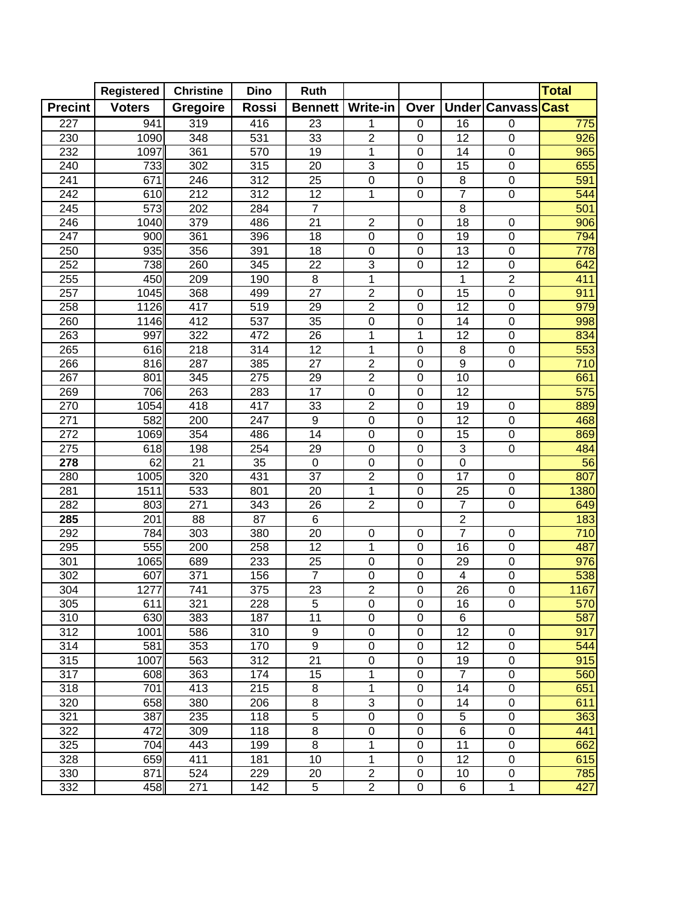|                  | Registered    | <b>Christine</b> | <b>Dino</b>      | <b>Ruth</b>     |                               |                            |                           |                    | <b>Total</b>           |
|------------------|---------------|------------------|------------------|-----------------|-------------------------------|----------------------------|---------------------------|--------------------|------------------------|
| <b>Precint</b>   | <b>Voters</b> | Gregoire         | Rossi            | <b>Bennett</b>  | <b>Write-in</b>               | Over                       |                           | Under Canvass Cast |                        |
| $\overline{227}$ | 941           | 319              | 416              | $\overline{23}$ | 1                             | $\pmb{0}$                  | $\overline{16}$           | $\boldsymbol{0}$   | 775                    |
| 230              | 1090          | 348              | 531              | 33              | $\overline{c}$                | $\mathbf 0$                | 12                        | $\mathbf 0$        | 926                    |
| 232              | 1097          | 361              | 570              | 19              | 1                             | $\mathbf 0$                | 14                        | $\boldsymbol{0}$   | 965                    |
| 240              | 733           | 302              | 315              | 20              | 3                             | $\pmb{0}$                  | 15                        | 0                  | 655                    |
| 241              | 671           | 246              | 312              | 25              | 0                             | 0                          | 8                         | 0                  | 591                    |
| 242              | 610           | $\overline{212}$ | 312              | 12              | $\mathbf{1}$                  | $\mathbf 0$                | $\overline{7}$            | $\mathbf 0$        | 544                    |
| 245              | 573           | 202              | 284              | $\overline{7}$  |                               |                            | 8                         |                    | 501                    |
| 246              | 1040          | 379              | 486              | 21              | $\overline{2}$                | 0                          | 18                        | $\mathbf 0$        | 906                    |
| 247              | 900           | 361              | 396              | 18              | $\mathsf 0$                   | $\mathbf 0$                | $\overline{19}$           | $\boldsymbol{0}$   | 794                    |
| 250              | 935           | 356              | 391              | 18              | $\mathbf 0$                   | $\mathbf 0$                | 13                        | $\overline{0}$     | 778                    |
| 252              | 738           | 260              | 345              | 22              | $\overline{3}$                | $\mathbf 0$                | $\overline{12}$           | $\boldsymbol{0}$   | 642                    |
| 255              | 450           | 209              | 190              | $\overline{8}$  | 1                             |                            | 1                         | $\overline{2}$     | 411                    |
| 257              | 1045          | 368              | 499              | $\overline{27}$ | $\overline{2}$                | 0                          | $\overline{15}$           | $\overline{0}$     | 911                    |
| 258              | 1126          | $\overline{417}$ | $\overline{519}$ | 29              | $\overline{2}$                | $\overline{0}$             | $\overline{12}$           | $\overline{0}$     | 979                    |
| 260              | 1146          | 412              | $\overline{537}$ | $\overline{35}$ | $\overline{0}$                | $\overline{0}$             | 14                        | $\overline{0}$     | 998                    |
| 263              | 997           | $\overline{322}$ | 472              | $\overline{26}$ | 1                             | 1                          | 12                        | $\overline{0}$     | 834                    |
| 265              | 616           | $\overline{218}$ | 314              | $\overline{12}$ | 1                             | $\pmb{0}$                  | 8                         | $\pmb{0}$          | 553                    |
| 266              | 816           | 287              | 385              | 27              | $\overline{2}$                | 0                          | $\boldsymbol{9}$          | $\mathsf 0$        | 710                    |
| 267              | 801           | 345              | 275              | 29              | $\overline{2}$                | 0                          | 10                        |                    | 661                    |
| 269              | 706           | 263              | 283              | 17              | 0                             | 0                          | 12                        |                    | 575                    |
| 270              | 1054          | 418              | 417              | 33              | $\overline{2}$                | 0                          | 19                        | 0                  | 889                    |
| 271              | 582           | 200              | 247              | 9               | 0                             | 0                          | 12                        | $\pmb{0}$          | 468                    |
| 272              | 1069          | 354              | 486              | 14              | $\mathsf 0$                   | $\mathbf 0$                | 15                        | 0                  | 869                    |
| 275              | 618<br>62     | 198<br>21        | 254              | 29<br>$\pmb{0}$ | 0                             | $\mathsf 0$<br>$\mathbf 0$ | $\sqrt{3}$<br>$\mathbf 0$ | $\mathsf 0$        | 484<br>$\overline{56}$ |
| 278<br>280       |               | 320              | 35<br>431        | 37              | $\mathbf 0$<br>$\overline{c}$ | 0                          | 17                        | 0                  |                        |
| 281              | 1005<br>1511  | 533              | 801              | 20              | $\mathbf 1$                   | $\mathbf 0$                | 25                        | $\overline{0}$     | 807<br>1380            |
| 282              | 803           | 271              | 343              | 26              | $\overline{2}$                | $\mathbf 0$                | $\overline{7}$            | $\boldsymbol{0}$   | 649                    |
| 285              | 201           | 88               | 87               | 6               |                               |                            | $\overline{2}$            |                    | 183                    |
| 292              | 784           | 303              | 380              | 20              | $\pmb{0}$                     | 0                          | $\overline{7}$            | $\pmb{0}$          | 710                    |
| 295              | 555           | 200              | 258              | $\overline{12}$ | $\mathbf 1$                   | $\mathbf 0$                | 16                        | $\overline{0}$     | 487                    |
| 301              | 1065          | 689              | 233              | 25              | $\pmb{0}$                     | 0                          | 29                        | $\pmb{0}$          | 976                    |
| 302              | 607           | 371              | 156              | $\overline{7}$  | 0                             | 0                          | 4                         | $\mathsf 0$        | 538                    |
| 304              | 1277          | 741              | 375              | 23              | $\overline{2}$                | $\mathsf 0$                | 26                        | $\boldsymbol{0}$   | 1167                   |
| 305              | 611           | 321              | 228              | 5               | 0                             | $\mathbf 0$                | 16                        | $\mathbf 0$        | 570                    |
| 310              | 630           | 383              | 187              | 11              | 0                             | 0                          | 6                         |                    | 587                    |
| 312              | 1001          | 586              | 310              | 9               | 0                             | $\pmb{0}$                  | 12                        | 0                  | 917                    |
| 314              | 581           | 353              | 170              | 9               | 0                             | 0                          | 12                        | $\pmb{0}$          | 544                    |
| 315              | 1007          | 563              | 312              | 21              | 0                             | 0                          | 19                        | $\pmb{0}$          | 915                    |
| 317              | 608           | 363              | 174              | 15              | 1                             | 0                          | $\overline{7}$            | $\boldsymbol{0}$   | 560                    |
| 318              | 701           | 413              | 215              | 8               | 1                             | 0                          | 14                        | 0                  | 651                    |
| 320              | 658           | 380              | 206              | 8               | 3                             | 0                          | 14                        | $\boldsymbol{0}$   | 611                    |
| 321              | 387           | 235              | 118              | 5               | $\mathbf 0$                   | 0                          | 5                         | $\boldsymbol{0}$   | 363                    |
| 322              | 472           | 309              | 118              | 8               | $\mathsf 0$                   | $\mathbf 0$                | 6                         | $\boldsymbol{0}$   | 441                    |
| 325              | 704           | 443              | 199              | 8               | 1                             | $\mathsf 0$                | 11                        | $\boldsymbol{0}$   | 662                    |
| 328              | 659           | 411              | 181              | 10              | 1                             | 0                          | 12                        | $\boldsymbol{0}$   | 615                    |
| 330              | 871           | 524              | 229              | 20              | $\overline{c}$                | 0                          | 10                        | $\pmb{0}$          | 785                    |
| 332              | 458           | 271              | 142              | 5               | $\overline{2}$                | $\mathsf 0$                | 6                         | 1                  | 427                    |